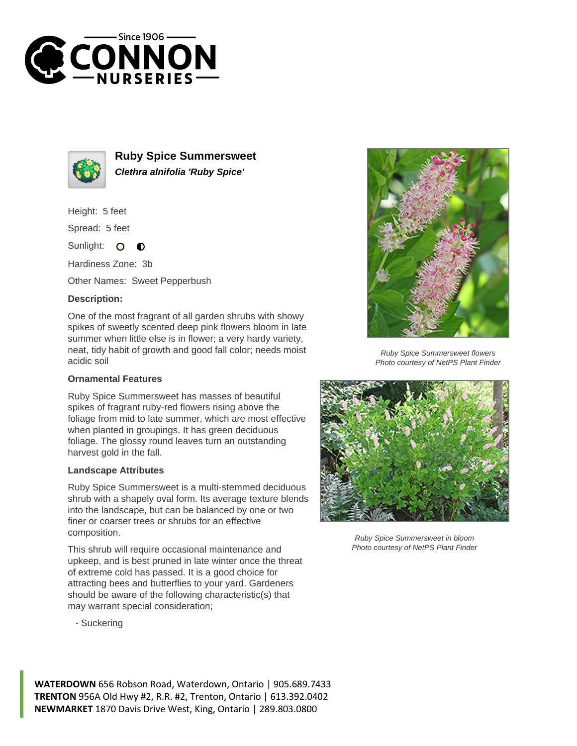



**Ruby Spice Summersweet Clethra alnifolia 'Ruby Spice'**

Height: 5 feet

Spread: 5 feet

Sunlight:  $\bullet$  $\bullet$ 

Hardiness Zone: 3b

Other Names: Sweet Pepperbush

## **Description:**

One of the most fragrant of all garden shrubs with showy spikes of sweetly scented deep pink flowers bloom in late summer when little else is in flower; a very hardy variety, neat, tidy habit of growth and good fall color; needs moist acidic soil

## **Ornamental Features**

Ruby Spice Summersweet has masses of beautiful spikes of fragrant ruby-red flowers rising above the foliage from mid to late summer, which are most effective when planted in groupings. It has green deciduous foliage. The glossy round leaves turn an outstanding harvest gold in the fall.

## **Landscape Attributes**

Ruby Spice Summersweet is a multi-stemmed deciduous shrub with a shapely oval form. Its average texture blends into the landscape, but can be balanced by one or two finer or coarser trees or shrubs for an effective composition.

This shrub will require occasional maintenance and upkeep, and is best pruned in late winter once the threat of extreme cold has passed. It is a good choice for attracting bees and butterflies to your yard. Gardeners should be aware of the following characteristic(s) that may warrant special consideration;

- Suckering



Ruby Spice Summersweet flowers Photo courtesy of NetPS Plant Finder



Ruby Spice Summersweet in bloom Photo courtesy of NetPS Plant Finder

**WATERDOWN** 656 Robson Road, Waterdown, Ontario | 905.689.7433 **TRENTON** 956A Old Hwy #2, R.R. #2, Trenton, Ontario | 613.392.0402 **NEWMARKET** 1870 Davis Drive West, King, Ontario | 289.803.0800